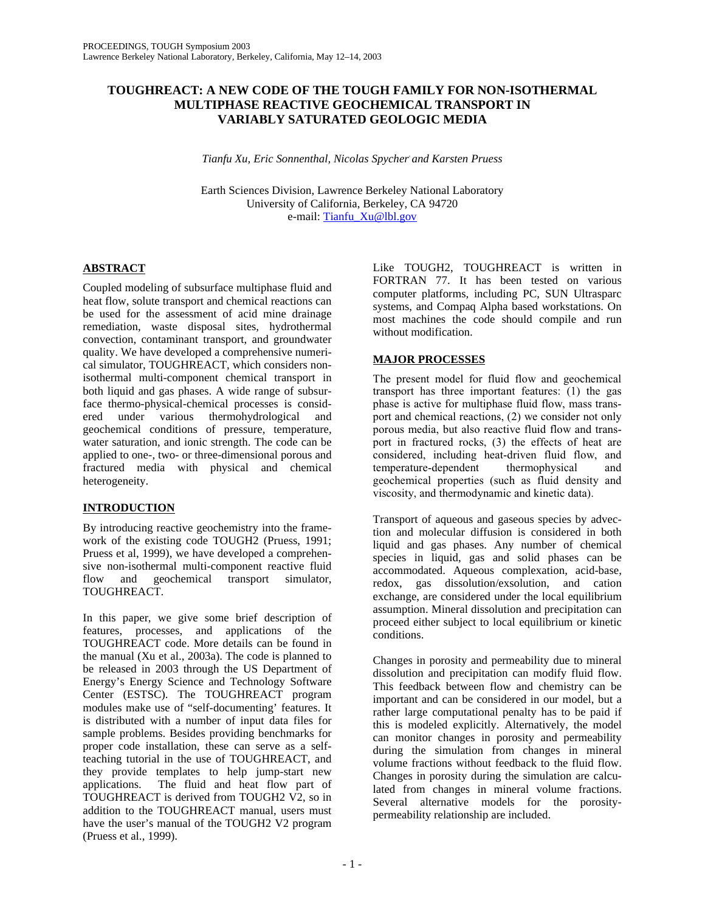# **TOUGHREACT: A NEW CODE OF THE TOUGH FAMILY FOR NON-ISOTHERMAL MULTIPHASE REACTIVE GEOCHEMICAL TRANSPORT IN VARIABLY SATURATED GEOLOGIC MEDIA**

*Tianfu Xu, Eric Sonnenthal, Nicolas Spycher, and Karsten Pruess* 

Earth Sciences Division, Lawrence Berkeley National Laboratory University of California, Berkeley, CA 94720 e-mail: Tianfu\_Xu@lbl.gov

# **ABSTRACT**

Coupled modeling of subsurface multiphase fluid and heat flow, solute transport and chemical reactions can be used for the assessment of acid mine drainage remediation, waste disposal sites, hydrothermal convection, contaminant transport, and groundwater quality. We have developed a comprehensive numerical simulator, TOUGHREACT, which considers nonisothermal multi-component chemical transport in both liquid and gas phases. A wide range of subsurface thermo-physical-chemical processes is considered under various thermohydrological and geochemical conditions of pressure, temperature, water saturation, and ionic strength. The code can be applied to one-, two- or three-dimensional porous and fractured media with physical and chemical heterogeneity.

# **INTRODUCTION**

By introducing reactive geochemistry into the framework of the existing code TOUGH2 (Pruess, 1991; Pruess et al, 1999), we have developed a comprehensive non-isothermal multi-component reactive fluid<br>flow and geochemical transport simulator, flow and geochemical transport simulator, TOUGHREACT.

In this paper, we give some brief description of features, processes, and applications of the TOUGHREACT code. More details can be found in the manual (Xu et al., 2003a). The code is planned to be released in 2003 through the US Department of Energy's Energy Science and Technology Software Center (ESTSC). The TOUGHREACT program modules make use of "self-documenting' features. It is distributed with a number of input data files for sample problems. Besides providing benchmarks for proper code installation, these can serve as a selfteaching tutorial in the use of TOUGHREACT, and they provide templates to help jump-start new<br>applications. The fluid and heat flow part of The fluid and heat flow part of TOUGHREACT is derived from TOUGH2 V2, so in addition to the TOUGHREACT manual, users must have the user's manual of the TOUGH2 V2 program (Pruess et al., 1999).

Like TOUGH2, TOUGHREACT is written in FORTRAN 77. It has been tested on various computer platforms, including PC, SUN Ultrasparc systems, and Compaq Alpha based workstations. On most machines the code should compile and run without modification.

# **MAJOR PROCESSES**

The present model for fluid flow and geochemical transport has three important features: (1) the gas phase is active for multiphase fluid flow, mass transport and chemical reactions, (2) we consider not only porous media, but also reactive fluid flow and transport in fractured rocks, (3) the effects of heat are considered, including heat-driven fluid flow, and temperature-dependent thermophysical and geochemical properties (such as fluid density and viscosity, and thermodynamic and kinetic data).

Transport of aqueous and gaseous species by advection and molecular diffusion is considered in both liquid and gas phases. Any number of chemical species in liquid, gas and solid phases can be accommodated. Aqueous complexation, acid-base, redox, gas dissolution/exsolution, and cation exchange, are considered under the local equilibrium assumption. Mineral dissolution and precipitation can proceed either subject to local equilibrium or kinetic conditions.

Changes in porosity and permeability due to mineral dissolution and precipitation can modify fluid flow. This feedback between flow and chemistry can be important and can be considered in our model, but a rather large computational penalty has to be paid if this is modeled explicitly. Alternatively, the model can monitor changes in porosity and permeability during the simulation from changes in mineral volume fractions without feedback to the fluid flow. Changes in porosity during the simulation are calculated from changes in mineral volume fractions. Several alternative models for the porositypermeability relationship are included.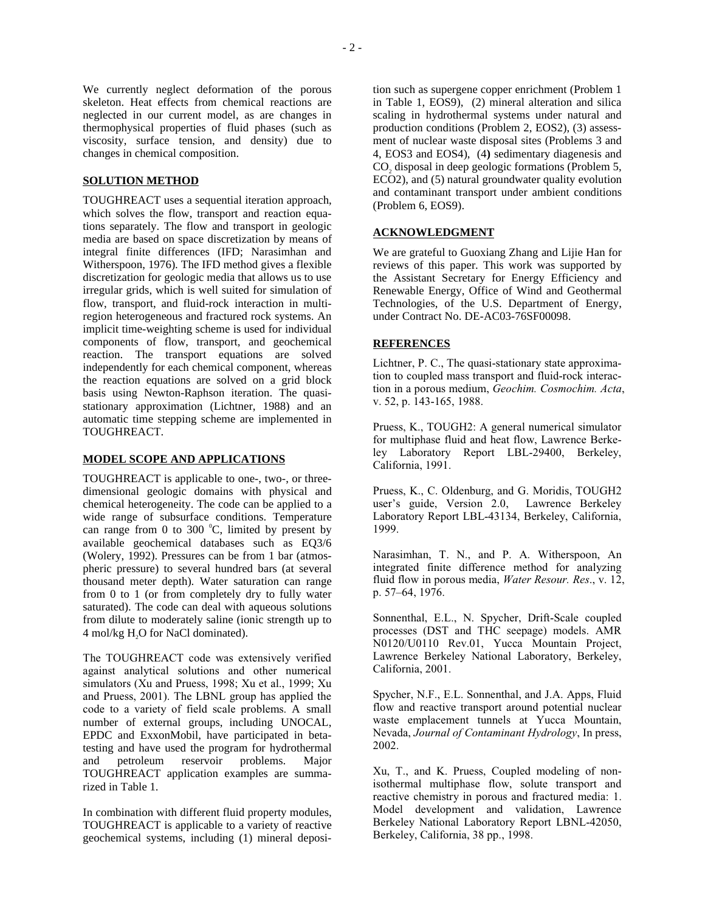We currently neglect deformation of the porous skeleton. Heat effects from chemical reactions are neglected in our current model, as are changes in thermophysical properties of fluid phases (such as viscosity, surface tension, and density) due to changes in chemical composition.

## **SOLUTION METHOD**

TOUGHREACT uses a sequential iteration approach, which solves the flow, transport and reaction equations separately. The flow and transport in geologic media are based on space discretization by means of integral finite differences (IFD; Narasimhan and Witherspoon, 1976). The IFD method gives a flexible discretization for geologic media that allows us to use irregular grids, which is well suited for simulation of flow, transport, and fluid-rock interaction in multiregion heterogeneous and fractured rock systems. An implicit time-weighting scheme is used for individual components of flow, transport, and geochemical reaction. The transport equations are solved independently for each chemical component, whereas the reaction equations are solved on a grid block basis using Newton-Raphson iteration. The quasistationary approximation (Lichtner, 1988) and an automatic time stepping scheme are implemented in TOUGHREACT.

### **MODEL SCOPE AND APPLICATIONS**

TOUGHREACT is applicable to one-, two-, or threedimensional geologic domains with physical and chemical heterogeneity. The code can be applied to a wide range of subsurface conditions. Temperature can range from 0 to 300  $^{\circ}$ C, limited by present by available geochemical databases such as EQ3/6 (Wolery, 1992). Pressures can be from 1 bar (atmospheric pressure) to several hundred bars (at several thousand meter depth). Water saturation can range from 0 to 1 (or from completely dry to fully water saturated). The code can deal with aqueous solutions from dilute to moderately saline (ionic strength up to 4 mol/kg H2O for NaCl dominated).

The TOUGHREACT code was extensively verified against analytical solutions and other numerical simulators (Xu and Pruess, 1998; Xu et al., 1999; Xu and Pruess, 2001). The LBNL group has applied the code to a variety of field scale problems. A small number of external groups, including UNOCAL, EPDC and ExxonMobil, have participated in betatesting and have used the program for hydrothermal and petroleum reservoir problems. Major TOUGHREACT application examples are summarized in Table 1.

In combination with different fluid property modules, TOUGHREACT is applicable to a variety of reactive geochemical systems, including (1) mineral deposition such as supergene copper enrichment (Problem 1 in Table 1, EOS9), (2) mineral alteration and silica scaling in hydrothermal systems under natural and production conditions (Problem 2, EOS2), (3) assessment of nuclear waste disposal sites (Problems 3 and 4, EOS3 and EOS4), (4**)** sedimentary diagenesis and CO<sub>2</sub> disposal in deep geologic formations (Problem 5, ECO2), and (5) natural groundwater quality evolution and contaminant transport under ambient conditions (Problem 6, EOS9).

### **ACKNOWLEDGMENT**

We are grateful to Guoxiang Zhang and Lijie Han for reviews of this paper. This work was supported by the Assistant Secretary for Energy Efficiency and Renewable Energy, Office of Wind and Geothermal Technologies, of the U.S. Department of Energy, under Contract No. DE-AC03-76SF00098.

### **REFERENCES**

Lichtner, P. C., The quasi-stationary state approximation to coupled mass transport and fluid-rock interaction in a porous medium, *Geochim. Cosmochim. Acta*, v. 52, p. 143-165, 1988.

Pruess, K., TOUGH2: A general numerical simulator for multiphase fluid and heat flow, Lawrence Berkeley Laboratory Report LBL-29400, Berkeley, California, 1991.

Pruess, K., C. Oldenburg, and G. Moridis, TOUGH2 user's guide, Version 2.0, Lawrence Berkeley Laboratory Report LBL-43134, Berkeley, California, 1999.

Narasimhan, T. N., and P. A. Witherspoon, An integrated finite difference method for analyzing fluid flow in porous media, *Water Resour. Res*., v. 12, p. 57–64, 1976.

Sonnenthal, E.L., N. Spycher, Drift-Scale coupled processes (DST and THC seepage) models. AMR N0120/U0110 Rev.01, Yucca Mountain Project, Lawrence Berkeley National Laboratory, Berkeley, California, 2001.

Spycher, N.F., E.L. Sonnenthal, and J.A. Apps, Fluid flow and reactive transport around potential nuclear waste emplacement tunnels at Yucca Mountain, Nevada, *Journal of Contaminant Hydrology*, In press, 2002.

Xu, T., and K. Pruess, Coupled modeling of nonisothermal multiphase flow, solute transport and reactive chemistry in porous and fractured media: 1. Model development and validation, Lawrence Berkeley National Laboratory Report LBNL-42050, Berkeley, California, 38 pp., 1998.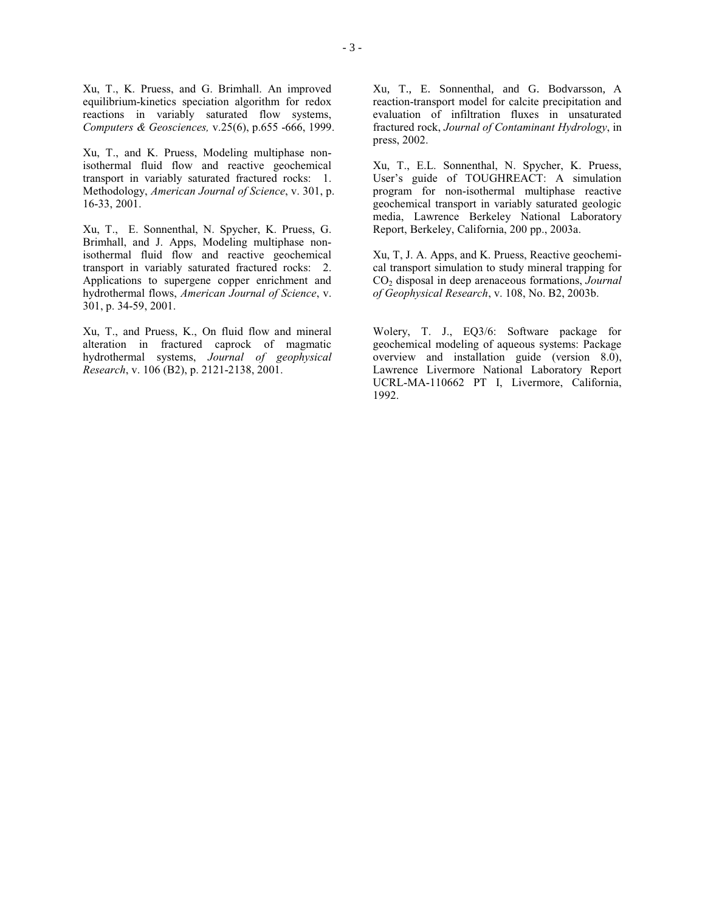Xu, T., K. Pruess, and G. Brimhall. An improved equilibrium-kinetics speciation algorithm for redox reactions in variably saturated flow systems, *Computers & Geosciences,* v.25(6), p.655 -666, 1999.

Xu, T., and K. Pruess, Modeling multiphase nonisothermal fluid flow and reactive geochemical transport in variably saturated fractured rocks: 1. Methodology, *American Journal of Science*, v. 301, p. 16-33, 2001.

Xu, T., E. Sonnenthal, N. Spycher, K. Pruess, G. Brimhall, and J. Apps, Modeling multiphase nonisothermal fluid flow and reactive geochemical transport in variably saturated fractured rocks: 2. Applications to supergene copper enrichment and hydrothermal flows, *American Journal of Science*, v. 301, p. 34-59, 2001.

Xu, T., and Pruess, K., On fluid flow and mineral alteration in fractured caprock of magmatic hydrothermal systems, *Journal of geophysical Research*, v. 106 (B2), p. 2121-2138, 2001.

Xu, T., E. Sonnenthal, and G. Bodvarsson, A reaction-transport model for calcite precipitation and evaluation of infiltration fluxes in unsaturated fractured rock, *Journal of Contaminant Hydrology*, in press, 2002.

Xu, T., E.L. Sonnenthal, N. Spycher, K. Pruess, User's guide of TOUGHREACT: A simulation program for non-isothermal multiphase reactive geochemical transport in variably saturated geologic media, Lawrence Berkeley National Laboratory Report, Berkeley, California, 200 pp., 2003a.

Xu, T, J. A. Apps, and K. Pruess, Reactive geochemical transport simulation to study mineral trapping for CO<sub>2</sub> disposal in deep arenaceous formations, *Journal of Geophysical Research*, v. 108, No. B2, 2003b.

Wolery, T. J., EQ3/6: Software package for geochemical modeling of aqueous systems: Package overview and installation guide (version 8.0), Lawrence Livermore National Laboratory Report UCRL-MA-110662 PT I, Livermore, California, 1992.